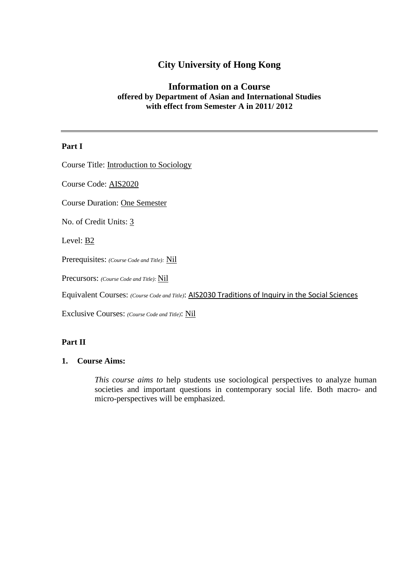# **City University of Hong Kong**

## **Information on a Course offered by Department of Asian and International Studies with effect from Semester A in 2011/ 2012**

#### **Part I**

Course Title: Introduction to Sociology

Course Code: AIS2020

Course Duration: One Semester

No. of Credit Units: 3

Level: B2

Prerequisites: *(Course Code and Title):* Nil

Precursors: *(Course Code and Title):* Nil

Equivalent Courses: *(Course Code and Title)*: AIS2030 Traditions of Inquiry in the Social Sciences

Exclusive Courses: *(Course Code and Title)*: Nil

### **Part II**

#### **1. Course Aims:**

*This course aims to* help students use sociological perspectives to analyze human societies and important questions in contemporary social life. Both macro- and micro-perspectives will be emphasized.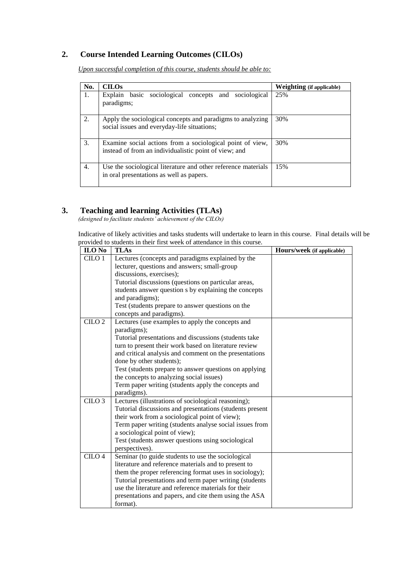## **2. Course Intended Learning Outcomes (CILOs)**

*Upon successful completion of this course, students should be able to:*

| No. | <b>CILOs</b>                                                                                                       | <b>Weighting</b> (if applicable) |
|-----|--------------------------------------------------------------------------------------------------------------------|----------------------------------|
| 1.  | Explain basic sociological concepts and sociological<br>paradigms;                                                 | 25%                              |
| 2.  | Apply the sociological concepts and paradigms to analyzing<br>social issues and everyday-life situations;          | 30%                              |
| 3.  | Examine social actions from a sociological point of view,<br>instead of from an individualistic point of view; and | 30%                              |
| 4.  | Use the sociological literature and other reference materials<br>in oral presentations as well as papers.          | 15%                              |

#### **3. Teaching and learning Activities (TLAs)**

*(designed to facilitate students' achievement of the CILOs)*

Indicative of likely activities and tasks students will undertake to learn in this course. Final details will be provided to students in their first week of attendance in this course.

| ILO No            | <b>TLAs</b>                                                        | Hours/week (if applicable) |
|-------------------|--------------------------------------------------------------------|----------------------------|
| CILO 1            | Lectures (concepts and paradigms explained by the                  |                            |
|                   | lecturer, questions and answers; small-group                       |                            |
|                   | discussions, exercises);                                           |                            |
|                   | Tutorial discussions (questions on particular areas,               |                            |
|                   | students answer question s by explaining the concepts              |                            |
|                   | and paradigms);                                                    |                            |
|                   | Test (students prepare to answer questions on the                  |                            |
|                   | concepts and paradigms).                                           |                            |
| CILO <sub>2</sub> | Lectures (use examples to apply the concepts and                   |                            |
|                   | paradigms);                                                        |                            |
|                   | Tutorial presentations and discussions (students take              |                            |
|                   | turn to present their work based on literature review              |                            |
|                   | and critical analysis and comment on the presentations             |                            |
|                   | done by other students);                                           |                            |
|                   | Test (students prepare to answer questions on applying             |                            |
|                   | the concepts to analyzing social issues)                           |                            |
|                   | Term paper writing (students apply the concepts and                |                            |
| CILO <sub>3</sub> | paradigms).<br>Lectures (illustrations of sociological reasoning); |                            |
|                   | Tutorial discussions and presentations (students present           |                            |
|                   | their work from a sociological point of view);                     |                            |
|                   | Term paper writing (students analyse social issues from            |                            |
|                   | a sociological point of view);                                     |                            |
|                   | Test (students answer questions using sociological                 |                            |
|                   | perspectives).                                                     |                            |
| CILO <sub>4</sub> | Seminar (to guide students to use the sociological                 |                            |
|                   | literature and reference materials and to present to               |                            |
|                   | them the proper referencing format uses in sociology);             |                            |
|                   | Tutorial presentations and term paper writing (students            |                            |
|                   | use the literature and reference materials for their               |                            |
|                   | presentations and papers, and cite them using the ASA              |                            |
|                   | format).                                                           |                            |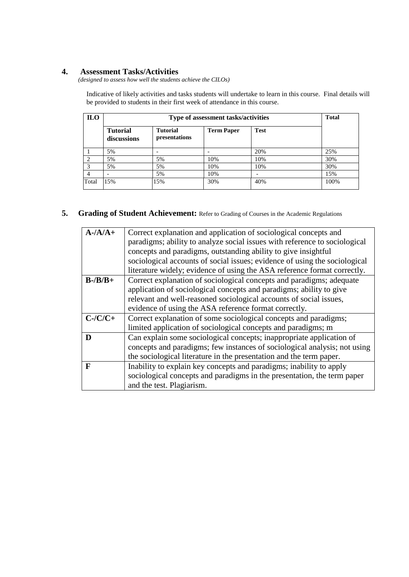#### **4. Assessment Tasks/Activities**

*(designed to assess how well the students achieve the CILOs)*

Indicative of likely activities and tasks students will undertake to learn in this course. Final details will be provided to students in their first week of attendance in this course.

| <b>ILO</b>                  | Type of assessment tasks/activities |                                  |                   |             |      |  |
|-----------------------------|-------------------------------------|----------------------------------|-------------------|-------------|------|--|
|                             | <b>Tutorial</b><br>discussions      | <b>Tutorial</b><br>presentations | <b>Term Paper</b> | <b>Test</b> |      |  |
|                             | 5%                                  |                                  |                   | 20%         | 25%  |  |
| $\mathcal{D}_{\mathcal{A}}$ | 5%                                  | 5%                               | 10%               | 10%         | 30%  |  |
| $\mathcal{R}$               | 5%                                  | 5%                               | 10%               | 10%         | 30%  |  |
|                             |                                     | 5%                               | 10%               |             | 15%  |  |
| Total                       | 5%                                  | 15%                              | 30%               | 40%         | 100% |  |

### **5. Grading of Student Achievement:** Refer to Grading of Courses in the Academic Regulations

| $A - A/A +$         | Correct explanation and application of sociological concepts and           |  |  |
|---------------------|----------------------------------------------------------------------------|--|--|
|                     | paradigms; ability to analyze social issues with reference to sociological |  |  |
|                     | concepts and paradigms, outstanding ability to give insightful             |  |  |
|                     | sociological accounts of social issues; evidence of using the sociological |  |  |
|                     | literature widely; evidence of using the ASA reference format correctly.   |  |  |
| $B - \frac{B}{B +}$ | Correct explanation of sociological concepts and paradigms; adequate       |  |  |
|                     | application of sociological concepts and paradigms; ability to give        |  |  |
|                     | relevant and well-reasoned sociological accounts of social issues,         |  |  |
|                     | evidence of using the ASA reference format correctly.                      |  |  |
| $C$ -/ $C/C$ +      | Correct explanation of some sociological concepts and paradigms;           |  |  |
|                     | limited application of sociological concepts and paradigms; m              |  |  |
|                     | Can explain some sociological concepts; inappropriate application of       |  |  |
|                     | concepts and paradigms; few instances of sociological analysis; not using  |  |  |
|                     | the sociological literature in the presentation and the term paper.        |  |  |
| $\mathbf F$         | Inability to explain key concepts and paradigms; inability to apply        |  |  |
|                     | sociological concepts and paradigms in the presentation, the term paper    |  |  |
|                     | and the test. Plagiarism.                                                  |  |  |